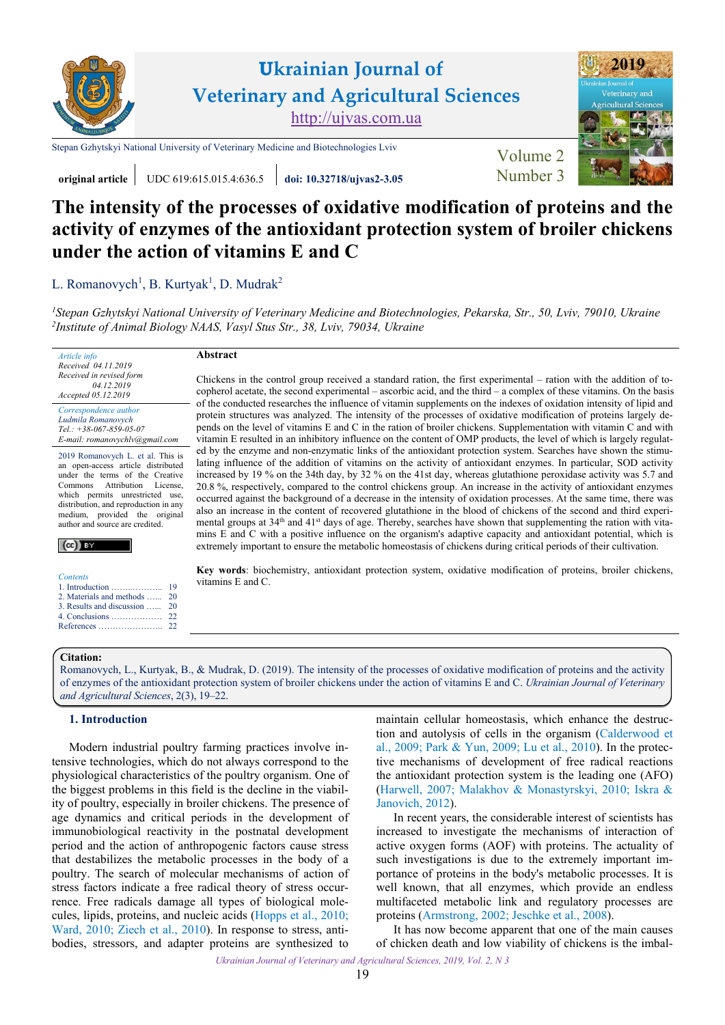

# **Ukrainian Journal of Veterinary and Agricultural Sciences** [http://ujvas.com.ua](http://ujvas.com.ua/)

[Stepan Gzhytskyi National University of Veterinary Medicine and Biotechnologies Lviv](https://lvet.edu.ua) [Volume 2](https://ujvas.com.ua/index.php/journal/issue/view/5)



**original article** UDC 619:615.015.4:636.5 *[doi: 10.32718/ujvas2-3.05](https://doi.org/10.32718/ujvas2-3.05)* Number 3

**Abstract**

# **The intensity of the processes of oxidative modification of proteins and the activity of enzymes of the antioxidant protection system of broiler chickens under the action of vitamins E and C**

L. [Romanovych](http://orcid.org/0000-0001-6287-4481)<sup>1</sup>, [B. Kurtyak](http://orcid.org/0000-0001-8401-5928)<sup>1</sup>, D. Mudrak<sup>2</sup>

*<sup>1</sup>[Stepan Gzhytskyi National University of Veterinary Medicine and Biotechnologies, Pekarska, Str., 50, Lviv, 79010, Ukraine](https://lvet.edu.ua/) 2 Іnstitute of Animal Biology NAAS, [Vasyl Stus Str., 38, Lviv, 79034, Ukraine](https://www.inenbiol.com)*

*Article info Received 04.11.2019 Received in revised form 04.12.2019 Accepted 05.12.2019* 

*Correspondence author [Ludmila](https://scholar.google.com.ua/citations?hl=ru&user=PcKlR_gAAAAJ) [Romanovych](https://scholar.google.com.ua/citations?hl=ru&user=PcKlR_gAAAAJ) Tel.: +38-067-859-05-07 E-mail: romanovychlv@gmail.com*

2019 Romanovych L. et al. This is an open-access article distributed under the terms of the Creative<br>Commons Attribution License. Commons Attribution which permits unrestricted use, distribution, and reproduction in any medium, provided the original author and source are credited.



|  | <i>contents</i> |  |
|--|-----------------|--|
|  |                 |  |

- 1. Introduction …… [2. Materials and methods](#page-1-0) …... [3. Results and discussion …...](#page-1-0) 19  $20$ [20](#page-1-0)
- [4. Conclusions ………………](#page-3-0) [References …………………..](#page-3-0)  $22$  $22$

Chickens in the control group received a standard ration, the first experimental – ration with the addition of tocopherol acetate, the second experimental – ascorbic acid, and the third – a complex of these vitamins. On the basis of the conducted researches the influence of vitamin supplements on the indexes of oxidation intensity of lipid and protein structures was analyzed. The intensity of the processes of oxidative modification of proteins largely depends on the level of vitamins E and C in the ration of broiler chickens. Supplementation with vitamin C and with vitamin E resulted in an inhibitory influence on the content of OMP products, the level of which is largely regulated by the enzyme and non-enzymatic links of the antioxidant protection system. Searches have shown the stimulating influence of the addition of vitamins on the activity of antioxidant enzymes. In particular, SOD activity increased by 19 % on the 34th day, by 32 % on the 41st day, whereas glutathione peroxidase activity was 5.7 and 20.8 %, respectively, compared to the control chickens group. An increase in the activity of antioxidant enzymes occurred against the background of a decrease in the intensity of oxidation processes. At the same time, there was also an increase in the content of recovered glutathione in the blood of chickens of the second and third experimental groups at 34<sup>th</sup> and 41<sup>st</sup> days of age. Thereby, searches have shown that supplementing the ration with vitamins E and C with a positive influence on the organism's adaptive capacity and antioxidant potential, which is extremely important to ensure the metabolic homeostasis of chickens during critical periods of their cultivation.

**Key words**: biochemistry, antioxidant protection system, oxidative modification of proteins, broiler chickens, vitamins E and С.

## **Citation:**

Romanovych, L., Kurtyak, B., [& Mudrak, D. \(2019\). The intensity of the processes of oxidative modification of proteins and the activity](https://doi.org/10.32718/ujvas2-3.05) of enzymes of the antioxidant protection system of broiler chickens under the action of vitamins E and C. *Ukrainian Journal of Veterinary and Agricultural Sciences*, 2(3), 19–22.

## **1. Introduction**

Modern industrial poultry farming practices involve intensive technologies, which do not always correspond to the physiological characteristics of the poultry organism. One of the biggest problems in this field is the decline in the viability of poultry, especially in broiler chickens. The presence of age dynamics and critical periods in the development of immunobiological reactivity in the postnatal development period and the action of anthropogenic factors cause stress that destabilizes the metabolic processes in the body of a poultry. The search of molecular mechanisms of action of stress factors indicate a free radical theory of stress occurrence. Free radicals damage all types of biological molecules, lipids, proteins, and nucleic acids (Hopps [et al., 2010;](#page-3-0) [Ward, 2010;](#page-3-0) Ziech [et al., 2010](#page-3-0)). In response to stress, antibodies, stressors, and adapter proteins are synthesized to

maintain cellular homeostasis, which enhance the destruction and autolysis of cells in the organism ([Calderwood](#page-3-0) et [al., 2009](#page-3-0); Park [& Yun, 2009](#page-3-0); [Lu et al., 2010](#page-3-0)). In the protective mechanisms of development of free radical reactions the antioxidant protection system is the leading one (AFO) [\(Harwell, 2007; Malakhov & Monastyrskyi, 2010; Iskra &](#page-3-0) [Janovich, 2012\)](#page-3-0).

In recent years, the considerable interest of scientists has increased to investigate the mechanisms of interaction of active oxygen forms (AOF) with proteins. The actuality of such investigations is due to the extremely important importance of proteins in the body's metabolic processes. It is well known, that all enzymes, which provide an endless multifaceted metabolic link and regulatory processes are proteins [\(Armstrong,](#page-3-0) 2002; [Jeschke et al., 2008\)](#page-3-0).

It has now become apparent that one of the main causes of chicken death and low viability of chickens is the imbal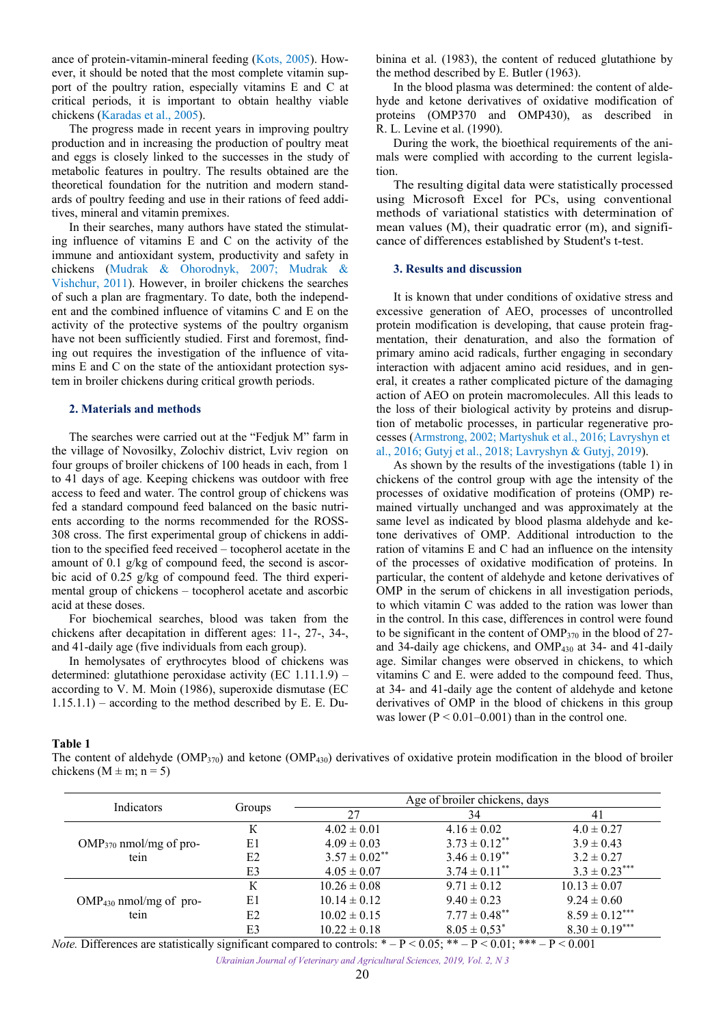<span id="page-1-0"></span>ance of protein-vitamin-mineral feeding [\(Kots, 2005\)](#page-3-0). However, it should be noted that the most complete vitamin support of the poultry ration, especially vitamins E and C at critical periods, it is important to obtain healthy viable chickens [\(Karadas et al., 2005\)](#page-3-0).

The progress made in recent years in improving poultry production and in increasing the production of poultry meat and eggs is closely linked to the successes in the study of metabolic features in poultry. The results obtained are the theoretical foundation for the nutrition and modern standards of poultry feeding and use in their rations of feed additives, mineral and vitamin premixes.

In their searches, many authors have stated the stimulating influence of vitamins E and C on the activity of the immune and antioxidant system, productivity and safety in chickens [\(Mudrak & Ohorodnyk,](#page-3-0) 2007; [Mudrak &](#page-3-0) [Vishchur, 2011](#page-3-0)). However, in broiler chickens the searches of such a plan are fragmentary. To date, both the independent and the combined influence of vitamins C and E on the activity of the protective systems of the poultry organism have not been sufficiently studied. First and foremost, finding out requires the investigation of the influence of vitamins E and C on the state of the antioxidant protection system in broiler chickens during critical growth periods.

## **2. Materials and methods**

The searches were carried out at the "Fedjuk M" farm in the village of Novosilky, Zolochiv district, Lviv region on four groups of broiler chickens of 100 heads in each, from 1 to 41 days of age. Keeping chickens was outdoor with free access to feed and water. The control group of chickens was fed a standard compound feed balanced on the basic nutrients according to the norms recommended for the ROSS-308 cross. The first experimental group of chickens in addition to the specified feed received – tocopherol acetate in the amount of 0.1 g/kg of compound feed, the second is ascorbic acid of 0.25 g/kg of compound feed. The third experimental group of chickens – tocopherol acetate and ascorbic acid at these doses.

For biochemical searches, blood was taken from the chickens after decapitation in different ages: 11-, 27-, 34-, and 41-daily age (five individuals from each group).

In hemolysates of erythrocytes blood of chickens was determined: glutathione peroxidase activity (EC 1.11.1.9) – according to V. M. Moin (1986), superoxide dismutase (EC 1.15.1.1) – according to the method described by E. E. Dubinina et al. (1983), the content of reduced glutathione by the method described by E. Butler (1963).

In the blood plasma was determined: the content of aldehyde and ketone derivatives of oxidative modification of proteins (OMP370 and OMP430), as described in R. L. Levine et al. (1990).

During the work, the bioethical requirements of the animals were complied with according to the current legislation.

The resulting digital data were statistically processed using Microsoft Excel for PCs, using conventional methods of variational statistics with determination of mean values (M), their quadratic error (m), and significance of differences established by Student's t-test.

#### **3. Results and discussion**

It is known that under conditions of oxidative stress and excessive generation of AEO, processes of uncontrolled protein modification is developing, that cause protein fragmentation, their denaturation, and also the formation of primary amino acid radicals, further engaging in secondary interaction with adjacent amino acid residues, and in general, it creates a rather complicated picture of the damaging action of AEO on protein macromolecules. All this leads to the loss of their biological activity by proteins and disruption of metabolic processes, in particular regenerative processes ([Armstrong, 2002](#page-3-0); [Martyshuk](#page-3-0) et al., 2016; [Lavryshyn](#page-3-0) et al., [2016;](#page-3-0) [Gutyj](#page-3-0) et al., 2018; [Lavryshyn](#page-3-0) & Gutyj, 2019).

As shown by the results of the investigations (table 1) in chickens of the control group with age the intensity of the processes of oxidative modification of proteins (OMP) remained virtually unchanged and was approximately at the same level as indicated by blood plasma aldehyde and ketone derivatives of OMP. Additional introduction to the ration of vitamins E and C had an influence on the intensity of the processes of oxidative modification of proteins. In particular, the content of aldehyde and ketone derivatives of OMP in the serum of chickens in all investigation periods, to which vitamin C was added to the ration was lower than in the control. In this case, differences in control were found to be significant in the content of  $\text{OMP}_{370}$  in the blood of 27and 34-daily age chickens, and OMP<sup>430</sup> at 34- and 41-daily age. Similar changes were observed in chickens, to which vitamins C and E. were added to the compound feed. Thus, at 34- and 41-daily age the content of aldehyde and ketone derivatives of OMP in the blood of chickens in this group was lower  $(P < 0.01 - 0.001)$  than in the control one.

#### **Table 1**

The content of aldehyde  $(\text{OMP}_{30})$  and ketone  $(\text{OMP}_{430})$  derivatives of oxidative protein modification in the blood of broiler chickens ( $M \pm m$ ; n = 5)

| Indicators                  | Groups | Age of broiler chickens, days |                               |                    |
|-----------------------------|--------|-------------------------------|-------------------------------|--------------------|
|                             |        | 27                            | 34                            | 41                 |
|                             | К      | $4.02 \pm 0.01$               | $4.16 \pm 0.02$               | $4.0 \pm 0.27$     |
| $OMP_{370}$ nmol/mg of pro- | E1     | $4.09 \pm 0.03$               | $3.73 \pm 0.12$ <sup>**</sup> | $3.9 \pm 0.43$     |
| tein                        | E2     | $3.57 \pm 0.02$ **            | $3.46 \pm 0.19$ <sup>**</sup> | $3.2 \pm 0.27$     |
|                             | E3     | $4.05 \pm 0.07$               | $3.74 \pm 0.11$ <sup>**</sup> | $3.3 \pm 0.23***$  |
|                             | К      | $10.26 \pm 0.08$              | $9.71 \pm 0.12$               | $10.13 \pm 0.07$   |
| $OMP_{430}$ nmol/mg of pro- | E1     | $10.14 \pm 0.12$              | $9.40 \pm 0.23$               | $9.24 \pm 0.60$    |
| tein                        | E2     | $10.02 \pm 0.15$              | $7.77 \pm 0.48$ **            | $8.59 \pm 0.12***$ |
|                             | E3     | $10.22 \pm 0.18$              | $8.05 \pm 0.53^*$             | $8.30 \pm 0.19***$ |

*Note.* Differences are statistically significant compared to controls: \* – P < 0.05; \*\* – P < 0.01; \*\*\* – P < 0.001

*Ukrainian Journal of Veterinary and Agricultural Sciences, 2019, Vol. 2, N 3*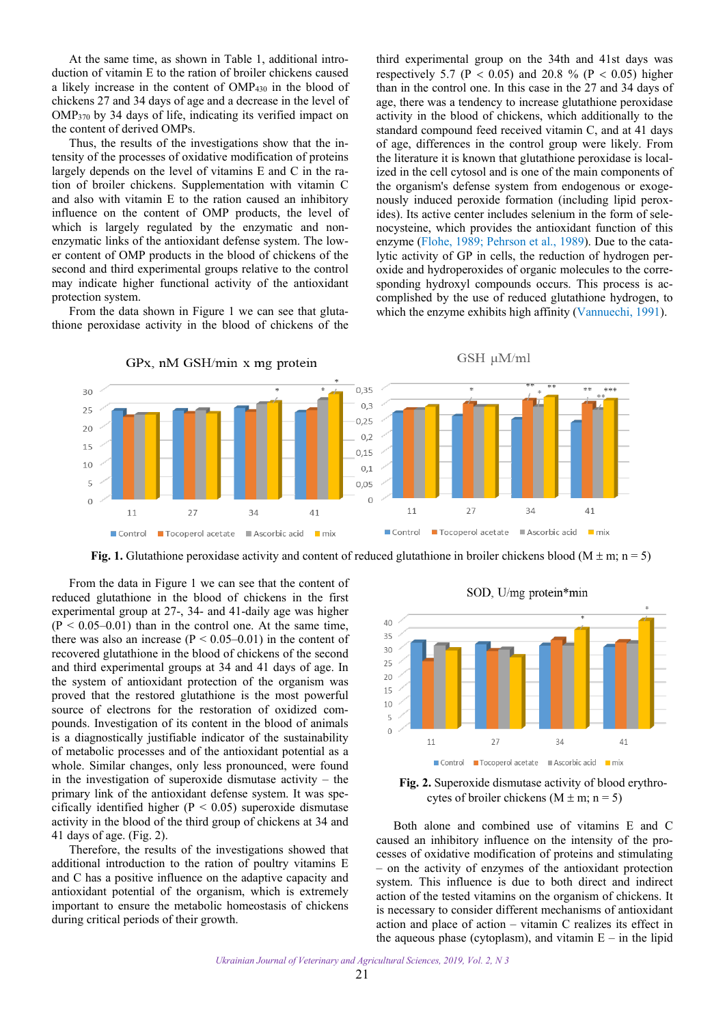At the same time, as shown in Table 1, additional introduction of vitamin E to the ration of broiler chickens caused a likely increase in the content of OMP430 in the blood of chickens 27 and 34 days of age and a decrease in the level of OMP370 by 34 days of life, indicating its verified impact on the content of derived OMPs.

Thus, the results of the investigations show that the intensity of the processes of oxidative modification of proteins largely depends on the level of vitamins E and C in the ration of broiler chickens. Supplementation with vitamin C and also with vitamin E to the ration caused an inhibitory influence on the content of OMP products, the level of which is largely regulated by the enzymatic and nonenzymatic links of the antioxidant defense system. The lower content of OMP products in the blood of chickens of the second and third experimental groups relative to the control may indicate higher functional activity of the antioxidant protection system.

From the data shown in Figure 1 we can see that glutathione peroxidase activity in the blood of chickens of the

third experimental group on the 34th and 41st days was respectively 5.7 ( $P < 0.05$ ) and 20.8 % ( $P < 0.05$ ) higher than in the control one. In this case in the 27 and 34 days of age, there was a tendency to increase glutathione peroxidase activity in the blood of chickens, which additionally to the standard compound feed received vitamin C, and at 41 days of age, differences in the control group were likely. From the literature it is known that glutathione peroxidase is localized in the cell cytosol and is one of the main components of the organism's defense system from endogenous or exogenously induced peroxide formation (including lipid peroxides). Its active center includes selenium in the form of selenocysteine, which provides the antioxidant function of this enzyme [\(Flohe,](#page-3-0) 1989; [Pehrson et al., 1989\)](#page-3-0). Due to the catalytic activity of GP in cells, the reduction of hydrogen peroxide and hydroperoxides of organic molecules to the corresponding hydroxyl compounds occurs. This process is accomplished by the use of reduced glutathione hydrogen, to which the enzyme exhibits high affinity ([Vannuechi, 1991](#page-3-0)).



**Fig. 1.** Glutathione peroxidase activity and content of reduced glutathione in broiler chickens blood (M  $\pm$  m; n = 5)

From the data in Figure 1 we can see that the content of reduced glutathione in the blood of chickens in the first experimental group at 27-, 34- and 41-daily age was higher  $(P < 0.05-0.01)$  than in the control one. At the same time, there was also an increase  $(P < 0.05-0.01)$  in the content of recovered glutathione in the blood of chickens of the second and third experimental groups at 34 and 41 days of age. In the system of antioxidant protection of the organism was proved that the restored glutathione is the most powerful source of electrons for the restoration of oxidized compounds. Investigation of its content in the blood of animals is a diagnostically justifiable indicator of the sustainability of metabolic processes and of the antioxidant potential as a whole. Similar changes, only less pronounced, were found in the investigation of superoxide dismutase activity – the primary link of the antioxidant defense system. It was specifically identified higher ( $P < 0.05$ ) superoxide dismutase activity in the blood of the third group of chickens at 34 and 41 days of age. (Fig. 2).

Therefore, the results of the investigations showed that additional introduction to the ration of poultry vitamins E and C has a positive influence on the adaptive capacity and antioxidant potential of the organism, which is extremely important to ensure the metabolic homeostasis of chickens during critical periods of their growth.





**Fig. 2.** Superoxide dismutase activity of blood erythrocytes of broiler chickens  $(M \pm m; n = 5)$ 

Both alone and combined use of vitamins E and C caused an inhibitory influence on the intensity of the processes of oxidative modification of proteins and stimulating – on the activity of enzymes of the antioxidant protection system. This influence is due to both direct and indirect action of the tested vitamins on the organism of chickens. It is necessary to consider different mechanisms of antioxidant action and place of action – vitamin C realizes its effect in the aqueous phase (cytoplasm), and vitamin  $E - in$  the lipid